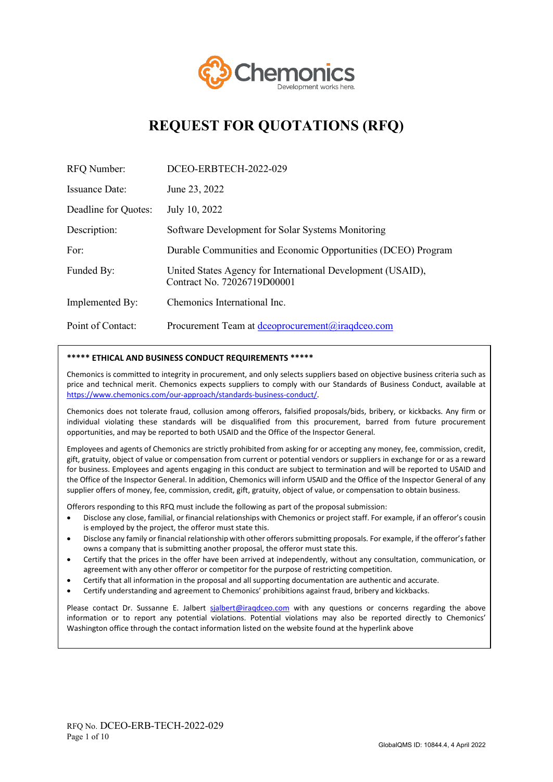

# **REQUEST FOR QUOTATIONS (RFQ)**

| RFQ Number:           | DCEO-ERBTECH-2022-029                                                                      |  |
|-----------------------|--------------------------------------------------------------------------------------------|--|
| <b>Issuance Date:</b> | June 23, 2022                                                                              |  |
| Deadline for Quotes:  | July 10, 2022                                                                              |  |
| Description:          | Software Development for Solar Systems Monitoring                                          |  |
| For:                  | Durable Communities and Economic Opportunities (DCEO) Program                              |  |
| Funded By:            | United States Agency for International Development (USAID),<br>Contract No. 72026719D00001 |  |
| Implemented By:       | Chemonics International Inc.                                                               |  |
| Point of Contact:     | Procurement Team at dceoprocurement@iraqdceo.com                                           |  |

#### **\*\*\*\*\* ETHICAL AND BUSINESS CONDUCT REQUIREMENTS \*\*\*\*\***

Chemonics is committed to integrity in procurement, and only selects suppliers based on objective business criteria such as price and technical merit. Chemonics expects suppliers to comply with our Standards of Business Conduct, available at [https://www.chemonics.com/our-approach/standards-business-conduct/.](https://www.chemonics.com/our-approach/standards-business-conduct/) 

Chemonics does not tolerate fraud, collusion among offerors, falsified proposals/bids, bribery, or kickbacks. Any firm or individual violating these standards will be disqualified from this procurement, barred from future procurement opportunities, and may be reported to both USAID and the Office of the Inspector General.

Employees and agents of Chemonics are strictly prohibited from asking for or accepting any money, fee, commission, credit, gift, gratuity, object of value or compensation from current or potential vendors or suppliers in exchange for or as a reward for business. Employees and agents engaging in this conduct are subject to termination and will be reported to USAID and the Office of the Inspector General. In addition, Chemonics will inform USAID and the Office of the Inspector General of any supplier offers of money, fee, commission, credit, gift, gratuity, object of value, or compensation to obtain business.

Offerors responding to this RFQ must include the following as part of the proposal submission:

- Disclose any close, familial, or financial relationships with Chemonics or project staff. For example, if an offeror's cousin is employed by the project, the offeror must state this.
- Disclose any family or financial relationship with other offerors submitting proposals. For example, if the offeror's father owns a company that is submitting another proposal, the offeror must state this.
- Certify that the prices in the offer have been arrived at independently, without any consultation, communication, or agreement with any other offeror or competitor for the purpose of restricting competition.
- Certify that all information in the proposal and all supporting documentation are authentic and accurate.
- Certify understanding and agreement to Chemonics' prohibitions against fraud, bribery and kickbacks.

Please contact Dr. Sussanne E. Jalbert sjalbert@iraqdceo.com with any questions or concerns regarding the above information or to report any potential violations. Potential violations may also be reported directly to Chemonics' Washington office through the contact information listed on the website found at the hyperlink above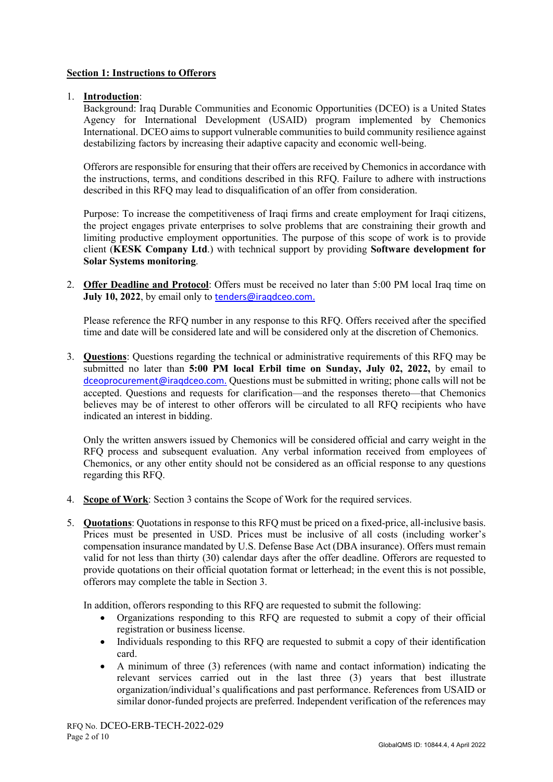# **Section 1: Instructions to Offerors**

# 1. **Introduction**:

Background: Iraq Durable Communities and Economic Opportunities (DCEO) is a United States Agency for International Development (USAID) program implemented by Chemonics International. DCEO aims to support vulnerable communities to build community resilience against destabilizing factors by increasing their adaptive capacity and economic well-being.

Offerors are responsible for ensuring that their offers are received by Chemonics in accordance with the instructions, terms, and conditions described in this RFQ. Failure to adhere with instructions described in this RFQ may lead to disqualification of an offer from consideration.

Purpose: To increase the competitiveness of Iraqi firms and create employment for Iraqi citizens, the project engages private enterprises to solve problems that are constraining their growth and limiting productive employment opportunities. The purpose of this scope of work is to provide client (**KESK Company Ltd**.) with technical support by providing **Software development for Solar Systems monitoring**.

2. **Offer Deadline and Protocol**: Offers must be received no later than 5:00 PM local Iraq time on **July 10, 2022**, by email only to tenders@iraqdceo.com.

Please reference the RFQ number in any response to this RFQ. Offers received after the specified time and date will be considered late and will be considered only at the discretion of Chemonics.

3. **Questions**: Questions regarding the technical or administrative requirements of this RFQ may be submitted no later than **5:00 PM local Erbil time on Sunday, July 02, 2022,** by email to dceoprocurement@iraqdceo.com. Questions must be submitted in writing; phone calls will not be accepted. Questions and requests for clarification—and the responses thereto—that Chemonics believes may be of interest to other offerors will be circulated to all RFQ recipients who have indicated an interest in bidding.

Only the written answers issued by Chemonics will be considered official and carry weight in the RFQ process and subsequent evaluation. Any verbal information received from employees of Chemonics, or any other entity should not be considered as an official response to any questions regarding this RFQ.

- 4. **Scope of Work**: Section 3 contains the Scope of Work for the required services.
- 5. **Quotations**: Quotations in response to this RFQ must be priced on a fixed-price, all-inclusive basis. Prices must be presented in USD. Prices must be inclusive of all costs (including worker's compensation insurance mandated by U.S. Defense Base Act (DBA insurance). Offers must remain valid for not less than thirty (30) calendar days after the offer deadline. Offerors are requested to provide quotations on their official quotation format or letterhead; in the event this is not possible, offerors may complete the table in Section 3.

In addition, offerors responding to this RFQ are requested to submit the following:

- Organizations responding to this RFQ are requested to submit a copy of their official registration or business license.
- Individuals responding to this RFQ are requested to submit a copy of their identification card.
- A minimum of three (3) references (with name and contact information) indicating the relevant services carried out in the last three (3) years that best illustrate organization/individual's qualifications and past performance. References from USAID or similar donor-funded projects are preferred. Independent verification of the references may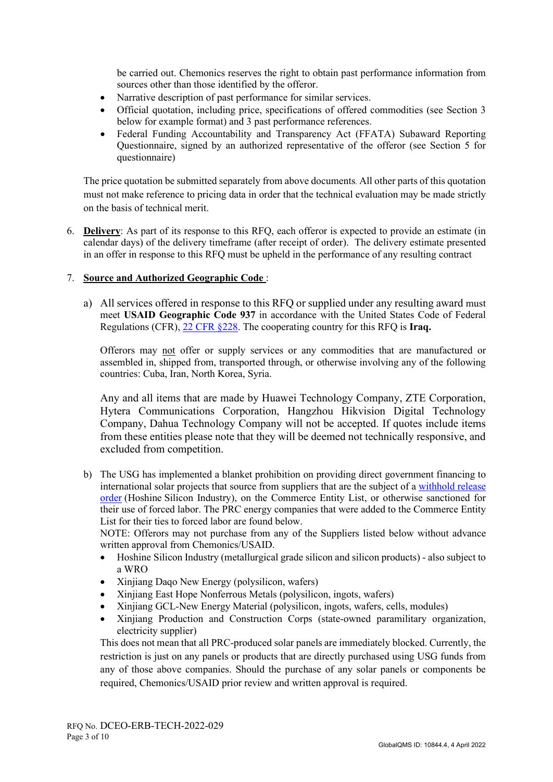be carried out. Chemonics reserves the right to obtain past performance information from sources other than those identified by the offeror.

- Narrative description of past performance for similar services.
- Official quotation, including price, specifications of offered commodities (see Section 3 below for example format) and 3 past performance references.
- Federal Funding Accountability and Transparency Act (FFATA) Subaward Reporting Questionnaire, signed by an authorized representative of the offeror (see Section 5 for questionnaire)

The price quotation be submitted separately from above documents. All other parts of this quotation must not make reference to pricing data in order that the technical evaluation may be made strictly on the basis of technical merit.

6. **Delivery**: As part of its response to this RFQ, each offeror is expected to provide an estimate (in calendar days) of the delivery timeframe (after receipt of order). The delivery estimate presented in an offer in response to this RFQ must be upheld in the performance of any resulting contract

# 7. **Source and Authorized Geographic Code** :

a) All services offered in response to this RFQ or supplied under any resulting award must meet **USAID Geographic Code 937** in accordance with the United States Code of Federal Regulations (CFR), [22 CFR §228.](https://www.gpo.gov/fdsys/pkg/CFR-2017-title22-vol1/pdf/CFR-2017-title22-vol1-part228.pdf) The cooperating country for this RFQ is **Iraq.**

Offerors may not offer or supply services or any commodities that are manufactured or assembled in, shipped from, transported through, or otherwise involving any of the following countries: Cuba, Iran, North Korea, Syria.

Any and all items that are made by Huawei Technology Company, ZTE Corporation, Hytera Communications Corporation, Hangzhou Hikvision Digital Technology Company, Dahua Technology Company will not be accepted. If quotes include items from these entities please note that they will be deemed not technically responsive, and excluded from competition.

b) The USG has implemented a blanket prohibition on providing direct government financing to international solar projects that source from suppliers that are the subject of a [withhold release](https://nam02.safelinks.protection.outlook.com/?url=https%3A%2F%2Fwww.cbp.gov%2Ftrade%2Fprograms-administration%2Fforced-labor%2Fhoshine-silicon-industry-co-ltd-withhold-release-order-frequently-asked-questions&data=04%7C01%7Cmevans%40chemonics.com%7Cceeecd341d8a4ff63e0508d9e754a887%7C7c1f24a67d39452c82370726e3b19a73%7C0%7C0%7C637795173057717238%7CUnknown%7CTWFpbGZsb3d8eyJWIjoiMC4wLjAwMDAiLCJQIjoiV2luMzIiLCJBTiI6Ik1haWwiLCJXVCI6Mn0%3D%7C3000&sdata=yrbsNUrX2K7Mt2xEI2aWOV0T9CU1W8PxaTcDHrp7LY4%3D&reserved=0)  [order](https://nam02.safelinks.protection.outlook.com/?url=https%3A%2F%2Fwww.cbp.gov%2Ftrade%2Fprograms-administration%2Fforced-labor%2Fhoshine-silicon-industry-co-ltd-withhold-release-order-frequently-asked-questions&data=04%7C01%7Cmevans%40chemonics.com%7Cceeecd341d8a4ff63e0508d9e754a887%7C7c1f24a67d39452c82370726e3b19a73%7C0%7C0%7C637795173057717238%7CUnknown%7CTWFpbGZsb3d8eyJWIjoiMC4wLjAwMDAiLCJQIjoiV2luMzIiLCJBTiI6Ik1haWwiLCJXVCI6Mn0%3D%7C3000&sdata=yrbsNUrX2K7Mt2xEI2aWOV0T9CU1W8PxaTcDHrp7LY4%3D&reserved=0) (Hoshine Silicon Industry), on the Commerce Entity List, or otherwise sanctioned for their use of forced labor. The PRC energy companies that were added to the Commerce Entity List for their ties to forced labor are found below.

NOTE: Offerors may not purchase from any of the Suppliers listed below without advance written approval from Chemonics/USAID.

- Hoshine Silicon Industry (metallurgical grade silicon and silicon products) also subject to a WRO
- Xinjiang Daqo New Energy (polysilicon, wafers)
- Xinjiang East Hope Nonferrous Metals (polysilicon, ingots, wafers)
- Xinjiang GCL-New Energy Material (polysilicon, ingots, wafers, cells, modules)
- Xinjiang Production and Construction Corps (state-owned paramilitary organization, electricity supplier)

This does not mean that all PRC-produced solar panels are immediately blocked. Currently, the restriction is just on any panels or products that are directly purchased using USG funds from any of those above companies. Should the purchase of any solar panels or components be required, Chemonics/USAID prior review and written approval is required.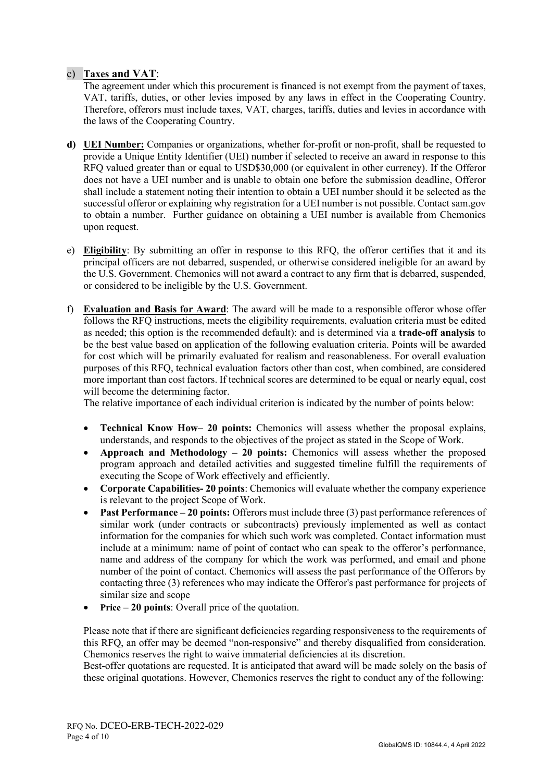# c) **Taxes and VAT**:

The agreement under which this procurement is financed is not exempt from the payment of taxes, VAT, tariffs, duties, or other levies imposed by any laws in effect in the Cooperating Country. Therefore, offerors must include taxes, VAT, charges, tariffs, duties and levies in accordance with the laws of the Cooperating Country.

- **d) UEI Number:** Companies or organizations, whether for-profit or non-profit, shall be requested to provide a Unique Entity Identifier (UEI) number if selected to receive an award in response to this RFQ valued greater than or equal to USD\$30,000 (or equivalent in other currency). If the Offeror does not have a UEI number and is unable to obtain one before the submission deadline, Offeror shall include a statement noting their intention to obtain a UEI number should it be selected as the successful offeror or explaining why registration for a UEI number is not possible. Contact sam.gov to obtain a number. Further guidance on obtaining a UEI number is available from Chemonics upon request.
- e) **Eligibility**: By submitting an offer in response to this RFQ, the offeror certifies that it and its principal officers are not debarred, suspended, or otherwise considered ineligible for an award by the U.S. Government. Chemonics will not award a contract to any firm that is debarred, suspended, or considered to be ineligible by the U.S. Government.
- f) **Evaluation and Basis for Award**: The award will be made to a responsible offeror whose offer follows the RFQ instructions, meets the eligibility requirements, evaluation criteria must be edited as needed; this option is the recommended default): and is determined via a **trade-off analysis** to be the best value based on application of the following evaluation criteria. Points will be awarded for cost which will be primarily evaluated for realism and reasonableness. For overall evaluation purposes of this RFQ, technical evaluation factors other than cost, when combined, are considered more important than cost factors. If technical scores are determined to be equal or nearly equal, cost will become the determining factor.

The relative importance of each individual criterion is indicated by the number of points below:

- **Technical Know How– 20 points:** Chemonics will assess whether the proposal explains, understands, and responds to the objectives of the project as stated in the Scope of Work.
- **Approach and Methodology 20 points:** Chemonics will assess whether the proposed program approach and detailed activities and suggested timeline fulfill the requirements of executing the Scope of Work effectively and efficiently.
- **Corporate Capabilities- 20 points**: Chemonics will evaluate whether the company experience is relevant to the project Scope of Work.
- **Past Performance 20 points:** Offerors must include three (3) past performance references of similar work (under contracts or subcontracts) previously implemented as well as contact information for the companies for which such work was completed. Contact information must include at a minimum: name of point of contact who can speak to the offeror's performance, name and address of the company for which the work was performed, and email and phone number of the point of contact. Chemonics will assess the past performance of the Offerors by contacting three (3) references who may indicate the Offeror's past performance for projects of similar size and scope
- **Price 20 points**: Overall price of the quotation.

Please note that if there are significant deficiencies regarding responsiveness to the requirements of this RFQ, an offer may be deemed "non-responsive" and thereby disqualified from consideration. Chemonics reserves the right to waive immaterial deficiencies at its discretion.

Best-offer quotations are requested. It is anticipated that award will be made solely on the basis of these original quotations. However, Chemonics reserves the right to conduct any of the following: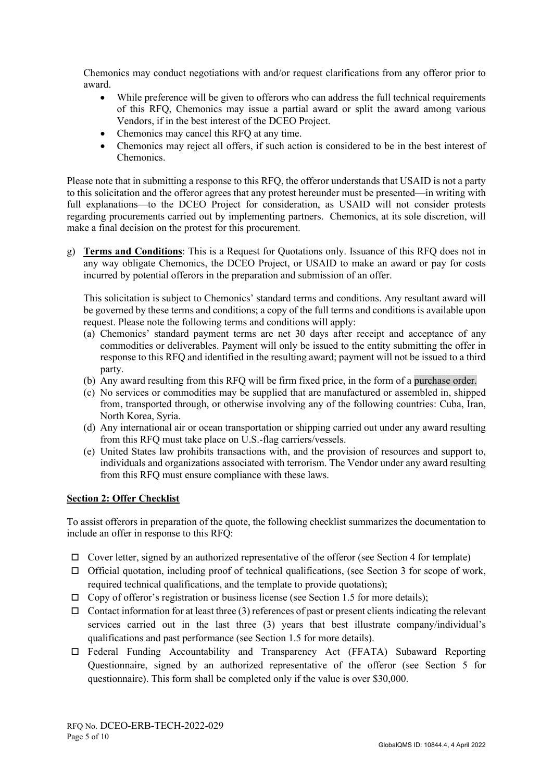Chemonics may conduct negotiations with and/or request clarifications from any offeror prior to award.

- While preference will be given to offerors who can address the full technical requirements of this RFQ, Chemonics may issue a partial award or split the award among various Vendors, if in the best interest of the DCEO Project.
- Chemonics may cancel this RFO at any time.
- Chemonics may reject all offers, if such action is considered to be in the best interest of Chemonics.

Please note that in submitting a response to this RFQ, the offeror understands that USAID is not a party to this solicitation and the offeror agrees that any protest hereunder must be presented—in writing with full explanations—to the DCEO Project for consideration, as USAID will not consider protests regarding procurements carried out by implementing partners. Chemonics, at its sole discretion, will make a final decision on the protest for this procurement.

g) **Terms and Conditions**: This is a Request for Quotations only. Issuance of this RFQ does not in any way obligate Chemonics, the DCEO Project, or USAID to make an award or pay for costs incurred by potential offerors in the preparation and submission of an offer.

This solicitation is subject to Chemonics' standard terms and conditions. Any resultant award will be governed by these terms and conditions; a copy of the full terms and conditions is available upon request. Please note the following terms and conditions will apply:

- (a) Chemonics' standard payment terms are net 30 days after receipt and acceptance of any commodities or deliverables. Payment will only be issued to the entity submitting the offer in response to this RFQ and identified in the resulting award; payment will not be issued to a third party.
- (b) Any award resulting from this RFQ will be firm fixed price, in the form of a purchase order.
- (c) No services or commodities may be supplied that are manufactured or assembled in, shipped from, transported through, or otherwise involving any of the following countries: Cuba, Iran, North Korea, Syria.
- (d) Any international air or ocean transportation or shipping carried out under any award resulting from this RFQ must take place on U.S.-flag carriers/vessels.
- (e) United States law prohibits transactions with, and the provision of resources and support to, individuals and organizations associated with terrorism. The Vendor under any award resulting from this RFQ must ensure compliance with these laws.

#### **Section 2: Offer Checklist**

To assist offerors in preparation of the quote, the following checklist summarizes the documentation to include an offer in response to this RFQ:

- $\Box$  Cover letter, signed by an authorized representative of the offeror (see Section 4 for template)
- $\Box$  Official quotation, including proof of technical qualifications, (see Section 3 for scope of work, required technical qualifications, and the template to provide quotations);
- $\Box$  Copy of offeror's registration or business license (see Section 1.5 for more details);
- $\Box$  Contact information for at least three (3) references of past or present clients indicating the relevant services carried out in the last three (3) years that best illustrate company/individual's qualifications and past performance (see Section 1.5 for more details).
- Federal Funding Accountability and Transparency Act (FFATA) Subaward Reporting Questionnaire, signed by an authorized representative of the offeror (see Section 5 for questionnaire). This form shall be completed only if the value is over \$30,000.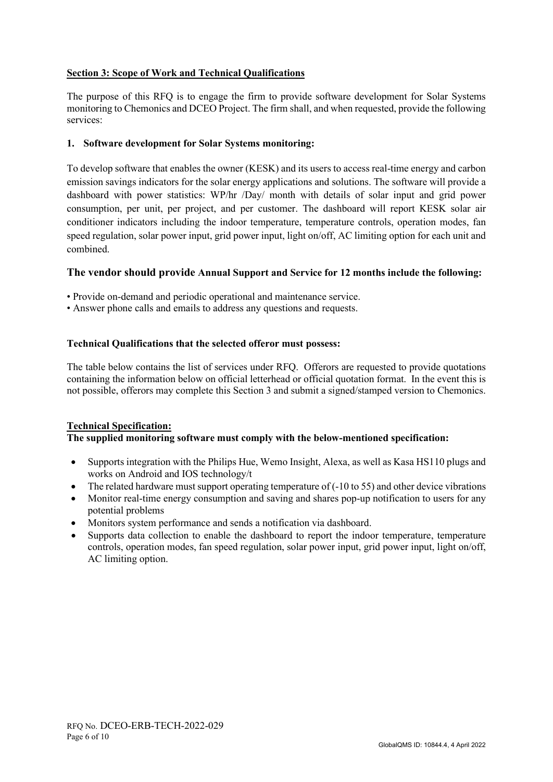# **Section 3: Scope of Work and Technical Qualifications**

The purpose of this RFQ is to engage the firm to provide software development for Solar Systems monitoring to Chemonics and DCEO Project. The firm shall, and when requested, provide the following services:

# **1. Software development for Solar Systems monitoring:**

To develop software that enables the owner (KESK) and its users to access real-time energy and carbon emission savings indicators for the solar energy applications and solutions. The software will provide a dashboard with power statistics: WP/hr /Day/ month with details of solar input and grid power consumption, per unit, per project, and per customer. The dashboard will report KESK solar air conditioner indicators including the indoor temperature, temperature controls, operation modes, fan speed regulation, solar power input, grid power input, light on/off, AC limiting option for each unit and combined.

# **The vendor should provide Annual Support and Service for 12 months include the following:**

- Provide on-demand and periodic operational and maintenance service.
- Answer phone calls and emails to address any questions and requests.

# **Technical Qualifications that the selected offeror must possess:**

The table below contains the list of services under RFQ. Offerors are requested to provide quotations containing the information below on official letterhead or official quotation format. In the event this is not possible, offerors may complete this Section 3 and submit a signed/stamped version to Chemonics.

#### **Technical Specification: The supplied monitoring software must comply with the below-mentioned specification:**

- Supports integration with the Philips Hue, Wemo Insight, Alexa, as well as Kasa HS110 plugs and works on Android and IOS technology/t
- The related hardware must support operating temperature of  $(-10 \text{ to } 55)$  and other device vibrations
- Monitor real-time energy consumption and saving and shares pop-up notification to users for any potential problems
- Monitors system performance and sends a notification via dashboard.
- Supports data collection to enable the dashboard to report the indoor temperature, temperature controls, operation modes, fan speed regulation, solar power input, grid power input, light on/off, AC limiting option.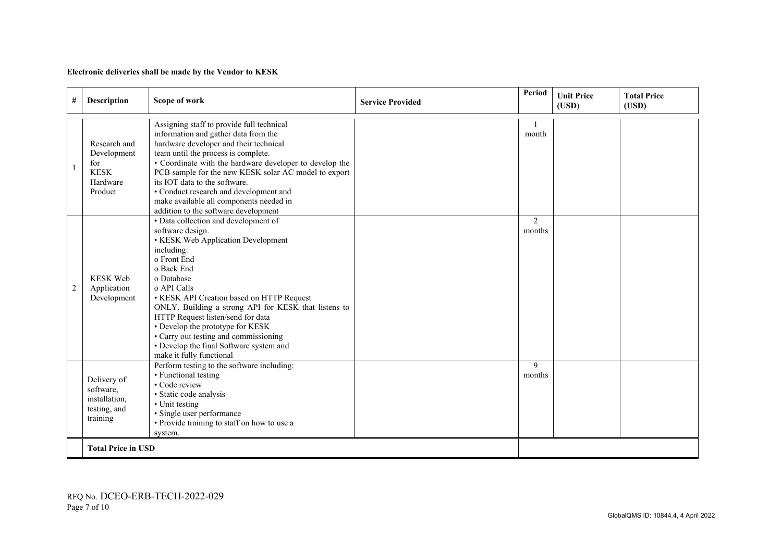#### **Electronic deliveries shall be made by the Vendor to KESK**

| $^{\#}$ | Description                                                              | Scope of work                                                                                                                                                                                                                                                                                                                                                                                                                                                        | <b>Service Provided</b> | Period      | <b>Unit Price</b><br>(USD) | <b>Total Price</b><br>(USD) |
|---------|--------------------------------------------------------------------------|----------------------------------------------------------------------------------------------------------------------------------------------------------------------------------------------------------------------------------------------------------------------------------------------------------------------------------------------------------------------------------------------------------------------------------------------------------------------|-------------------------|-------------|----------------------------|-----------------------------|
|         | Research and<br>Development<br>for<br><b>KESK</b><br>Hardware<br>Product | Assigning staff to provide full technical<br>information and gather data from the<br>hardware developer and their technical<br>team until the process is complete.<br>• Coordinate with the hardware developer to develop the<br>PCB sample for the new KESK solar AC model to export<br>its IOT data to the software.<br>• Conduct research and development and<br>make available all components needed in<br>addition to the software development                  |                         | month       |                            |                             |
| 2       | <b>KESK Web</b><br>Application<br>Development                            | • Data collection and development of<br>software design.<br>• KESK Web Application Development<br>including:<br>o Front End<br>o Back End<br>o Database<br>o API Calls<br>• KESK API Creation based on HTTP Request<br>ONLY. Building a strong API for KESK that listens to<br>HTTP Request listen/send for data<br>• Develop the prototype for KESK<br>• Carry out testing and commissioning<br>• Develop the final Software system and<br>make it fully functional |                         | 2<br>months |                            |                             |
|         | Delivery of<br>software,<br>installation,<br>testing, and<br>training    | Perform testing to the software including:<br>• Functional testing<br>• Code review<br>· Static code analysis<br>• Unit testing<br>· Single user performance<br>• Provide training to staff on how to use a<br>system.                                                                                                                                                                                                                                               |                         | 9<br>months |                            |                             |
|         | <b>Total Price in USD</b>                                                |                                                                                                                                                                                                                                                                                                                                                                                                                                                                      |                         |             |                            |                             |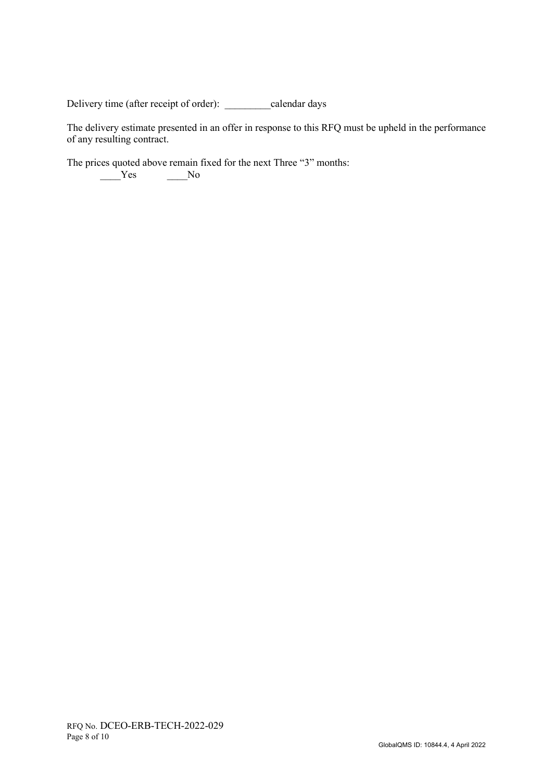Delivery time (after receipt of order): \_\_\_\_\_\_\_\_\_calendar days

The delivery estimate presented in an offer in response to this RFQ must be upheld in the performance of any resulting contract.

The prices quoted above remain fixed for the next Three "3" months:  $Y$ es  $N$ o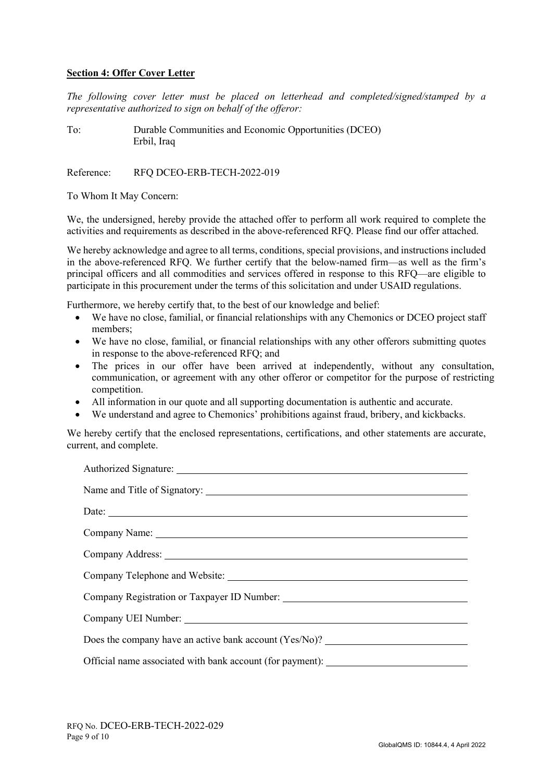#### **Section 4: Offer Cover Letter**

*The following cover letter must be placed on letterhead and completed/signed/stamped by a representative authorized to sign on behalf of the offeror:* 

To: Durable Communities and Economic Opportunities (DCEO) Erbil, Iraq

Reference: RFO DCEO-ERB-TECH-2022-019

To Whom It May Concern:

We, the undersigned, hereby provide the attached offer to perform all work required to complete the activities and requirements as described in the above-referenced RFQ. Please find our offer attached.

We hereby acknowledge and agree to all terms, conditions, special provisions, and instructions included in the above-referenced RFQ. We further certify that the below-named firm—as well as the firm's principal officers and all commodities and services offered in response to this RFQ—are eligible to participate in this procurement under the terms of this solicitation and under USAID regulations.

Furthermore, we hereby certify that, to the best of our knowledge and belief:

- We have no close, familial, or financial relationships with any Chemonics or DCEO project staff members;
- We have no close, familial, or financial relationships with any other offerors submitting quotes in response to the above-referenced RFQ; and
- The prices in our offer have been arrived at independently, without any consultation, communication, or agreement with any other offeror or competitor for the purpose of restricting competition.
- All information in our quote and all supporting documentation is authentic and accurate.
- We understand and agree to Chemonics' prohibitions against fraud, bribery, and kickbacks.

We hereby certify that the enclosed representations, certifications, and other statements are accurate, current, and complete.

| Company Name: Name: Name: Name: Name: Name: Name: Name: Name: Name: Name: Name: Name: Name: Name: Name: Name: Name: Name: Name: Name: Name: Name: Name: Name: Name: Name: Name: Name: Name: Name: Name: Name: Name: Name: Name |  |  |  |  |
|--------------------------------------------------------------------------------------------------------------------------------------------------------------------------------------------------------------------------------|--|--|--|--|
|                                                                                                                                                                                                                                |  |  |  |  |
|                                                                                                                                                                                                                                |  |  |  |  |
|                                                                                                                                                                                                                                |  |  |  |  |
|                                                                                                                                                                                                                                |  |  |  |  |
| Does the company have an active bank account (Yes/No)? __________________________                                                                                                                                              |  |  |  |  |
| Official name associated with bank account (for payment): _______________________                                                                                                                                              |  |  |  |  |